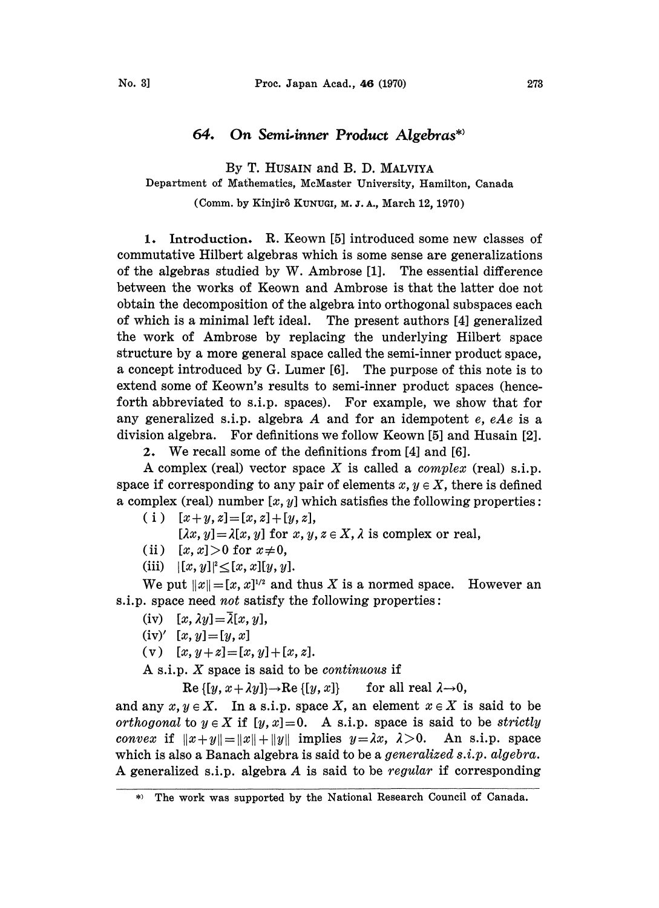## 64. On Semi.inner Product Algebras\*

By T. HUSAIN and B. D. MALVIYA

Department of Mathematics, McMaster University, Hamilton, Canada

(Comm. by Kinjir8 KUNUGI, M. J. A., March 12, 1970)

1. Introduction. R. Keown [5] introduced some new classes of commutative Hilbert algebras which is some sense are generalizations of the algebras studied by W. Ambrose [1]. The essential difference between the works of Keown and Ambrose is that the latter doe not obtain the decomposition of the algebra into orthogonal subspaces each of which is a minimal left ideal. The present authors [4] generalized the work of Ambrose by replacing the underlying Hilbert space structure by a more general space called the semi-inner product space, a concept introduced by G. Lumer [6]. The purpose of this note is to extend some of Keown's results to semi-inner product spaces (henceforth abbreviated to s.i.p, spaces). For example, we show that for any generalized s.i.p. algebra A and for an idempotent  $e$ ,  $eAe$  is a division algebra. For definitions we follow Keown [5] and Husain [2].

2. We recall some of the definitions from [4] and [6].

A complex (real) vector space X is called a *complex* (real) s.i.p. space if corresponding to any pair of elements  $x, y \in X$ , there is defined a complex (real) number  $[x, y]$  which satisfies the following properties:

( i )  $[x + y, z] = [x, z] + [y, z],$ 

 $[\lambda x, y] = \lambda [x, y]$  for  $x, y, z \in X, \lambda$  is complex or real,

- (ii)  $[x, x] > 0$  for  $x \neq 0$ ,
- (iii)  $|[x, y]|^2 \leq [x, x][y, y].$

We put  $||x|| = [x, x]^{1/2}$  and thus X is a normed space. However an s.i.p. space need *not* satisfy the following properties:

- $(iv)$   $[x, \lambda y] = \overline{\lambda}[x, y],$
- $(iv)'$  [x, y]=[y, x]
- (v)  $[x, y+z]=[x, y]+[x, z].$

A s.i.p. X space is said to be *continuous* if

 $\text{Re } \{ [y, x + \lambda y] \} \rightarrow \text{Re } \{ [y, x] \}$  for all real  $\lambda \rightarrow 0$ ,

and any  $x, y \in X$ . In a s.i.p. space X, an element  $x \in X$  is said to be orthogonal to  $y \in X$  if  $[y, x] = 0$ . A s.i.p. space is said to be strictly convex if  $||x+y||=||x||+||y||$  implies  $y=\lambda x$ ,  $\lambda >0$ . An s.i.p. space which is also a Banach algebra is said to be a *generalized s.i.p.* algebra. A generalized s.i.p, algebra A is said to be regular if corresponding

The work was supported by the National Research Council of Canada. $*)$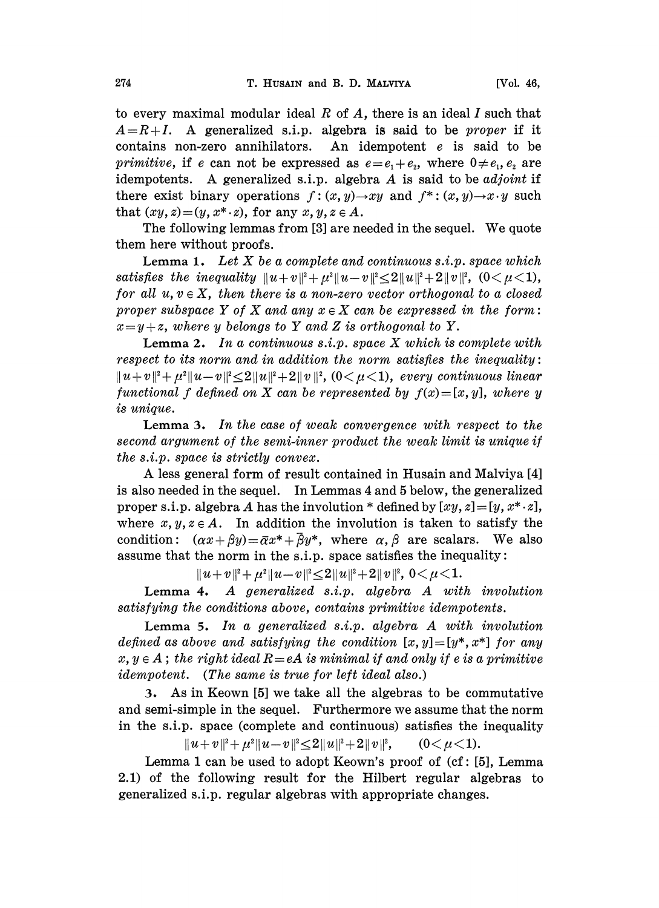to every maximal modular ideal  $R$  of  $A$ , there is an ideal  $I$  such that  $A=R+I$ . A generalized s.i.p. algebra is said to be *proper* if it contains non-zero annihilators. An idempotent <sup>e</sup> is said to be *primitive*, if e can not be expressed as  $e=e_1+e_2$ , where  $0\neq e_1, e_2$  are idempotents. A generalized s.i.p. algebra  $A$  is said to be *adjoint* if there exist binary operations  $f: (x, y) \rightarrow xy$  and  $f^*: (x, y) \rightarrow x \cdot y$  such that  $(xy, z) = (y, x^* \cdot z)$ , for any  $x, y, z \in A$ .

The following lemmas from [3] are needed in the sequel. We quote them here without proofs.

**Lemma 1.** Let  $X$  be a complete and continuous  $s.i.p.$  space which satisfies the inequality  $||u + v||^2 + \mu^2 ||u - v||^2 \leq 2||u||^2 + 2||v||^2$ ,  $(0 < \mu < 1)$ , for all  $u, v \in X$ , then there is a non-zero vector orthogonal to a closed proper subspace Y of X and any  $x \in X$  can be expressed in the form:  $x=y+z$ , where y belongs to Y and Z is orthogonal to Y.

**Lemma 2.** In a continuous  $s.i.p.$  space X which is complete with respect to its norm and in addition the norm satisfies the inequality:  $||u + v||^2 + \mu^2 ||u - v||^2 \leq 2||u||^2 + 2||v||^2$ , (0 $\lt \mu \lt 1$ ), every continuous linear functional f defined on X can be represented by  $f(x)=[x, y]$ , where y is unique.

Lemma 3. In the case of weak convergence with respect to the second argument of the semi-inner product the weak limit is unique if the s.i.p, space is strictly convex.

A less general form of result contained in Husain and Malviya [4] is also needed in the sequel. In Lemmas 4 and 5 below, the generalized proper s.i.p. algebra A has the involution \* defined by  $[xy, z] = [y, x^* \cdot z]$ , where  $x, y, z \in A$ . In addition the involution is taken to satisfy the condition:  $(\alpha x + \beta y) = \overline{\alpha}x^* + \overline{\beta}y^*$ , where  $\alpha, \beta$  are scalars. We also assume that the norm in the s.i.p. space satisfies the inequality:

 $||u+v||^2 + \mu^2 ||u-v||^2 \leq 2||u||^2 + 2||v||^2$ ,  $0 < \mu < 1$ .

Lemma 4. A generalized s.i.p, algebra A with involution satisfying the conditions above, contains primitive idempotents.

Lemma 5. In a generalized  $s.i.p.$  algebra  $A$  with involution defined as above and satisfying the condition  $[x, y] = [y^*, x^*]$  for any  $x, y \in A$ ; the right ideal  $R = eA$  is minimal if and only if e is a primitive idempotent. (The same is true for left ideal also.)

:. As in Keown [5] we take all the algebras to be commutative and semi-simple in the sequel. Furthermore we assume that the norm in the s.i.p, space (complete and continuous) satisfies the inequality

> $\|u+v\|^2+\mu^2\|u-v\|^2{\leq}2\|u\|^2+2\|v\|^2,$  $(0<\mu<1).$

Lemma 1 can be used to adopt Keown's proof of  $(cf: [5]$ , Lemma 2.1) of the following result for the Hilbert regular algebras to generalized s.i.p, regular algebras with appropriate changes.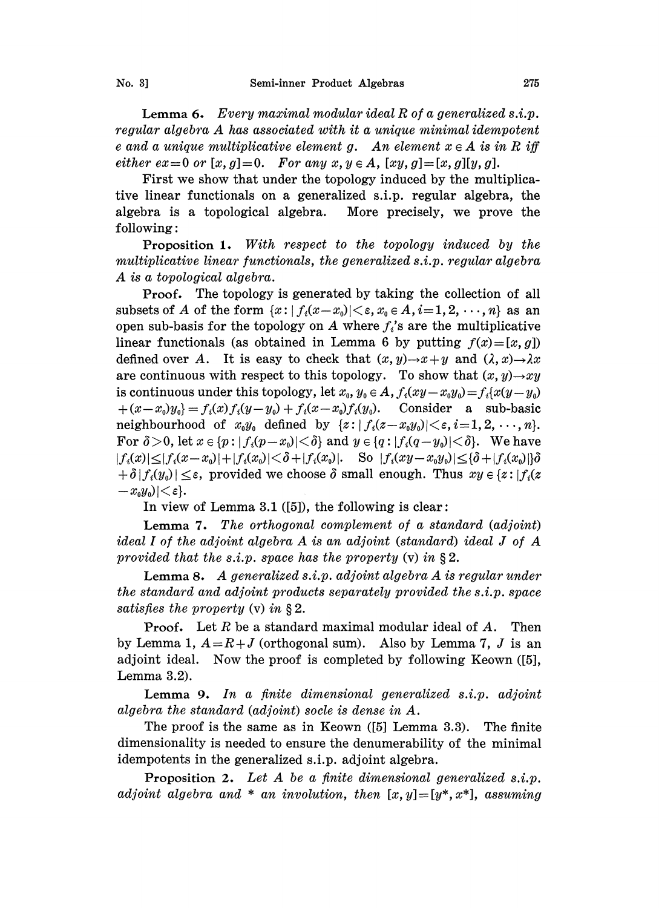**Lemma 6.** Every maximal modular ideal  $R$  of a generalized  $s.i.p.$ regular algebra A has associated with it a unique minimal idempotent e and a unique multiplicative element g. An element  $x \in A$  is in R iff either  $ex=0$  or  $[x, g]=0$ . For any  $x, y \in A$ ,  $[xy, g]=[x, g][y, g]$ .

First we show that under the topology induced by the multiplicative linear functionals on a generalized s.i.p, regular algebra, the algebra is a topological algebra. More precisely, we prove the following:

Proposition 1. With respect to the topology induced by the multiplicative linear functionals, the generalized s.i.p, regular algebra A is a topological algebra.

Proof. The topology is generated by taking the collection of all subsets of A of the form  $\{x : |f_i(x-x_0)| < \varepsilon, x_0 \in A, i=1, 2, \dots, n\}$  as an open sub-basis for the topology on A where  $f_i$ 's are the multiplicative linear functionals (as obtained in Lemma 6 by putting  $f(x)=[x, g]$ ) defined over A. It is easy to check that  $(x, y) \rightarrow x+y$  and  $(\lambda, x) \rightarrow \lambda x$ are continuous with respect to this topology. To show that  $(x, y) \rightarrow xy$ is continuous under this topology, let  $x_0, y_0 \in A$ ,  $f_i(xy-x_0y_0)=f_i(x(y-y_0))$  $+(x-x_0)y_0$  =  $f_i(x)f_i(y-y_0) + f_i(x-x_0)f_i(y_0)$ . Consider a sub-basic neighbourhood of  $x_0y_0$  defined by  $\{z: |f_i(z-x_0y_0)|<\varepsilon, i=1,2,\ldots,n\}.$ For  $\delta > 0$ , let  $x \in \{p : |f_i(p-x_0)| < \delta\}$  and  $y \in \{q : |f_i(q-y_0)| < \delta\}$ . We have  $|f_i(x)| \leq |f_i(x-x_0)| + |f_i(x_0)| < \delta + |f_i(x_0)|$ . So  $|f_i(xy-x_0y_0)| \leq {\delta} + |f_i(x_0)| {\delta}$  $|+\delta|f_i(y_0)| \leq \varepsilon$ , provided we choose  $\delta$  small enough. Thus  $xy \in \{z: |f_i(z)|\}$  $|-x_0y_0|<\varepsilon$ .

In view of Lemma 3.1  $([5])$ , the following is clear:

Lemma 7. The orthogonal complement of a standard  $adjoint$ ) ideal I of the adjoint algebra  $A$  is an adjoint (standard) ideal J of  $A$ provided that the s.i.p. space has the property  $(v)$  in §2.

Lemma 8. A generalized  $s.i.p.$  adjoint algebra A is regular under the standard and adjoint products separately provided the  $s.i.p.$  space satisfies the property  $(v)$  in §2.

**Proof.** Let  $R$  be a standard maximal modular ideal of  $A$ . Then by Lemma 1,  $A=R+J$  (orthogonal sum). Also by Lemma 7, J is an adjoint ideal. Now the proof is completed by following Keown ([5], Lemma 3.2).

Lemma 9. In a finite dimensional generalized  $s.i.p.$  adjoint algebra the standard (adjoint) socle is dense in  $A$ .

The proof is the same as in Keown ([5] Lemma 3.3). The finite dimensionality is needed to ensure the denumerability of the minimal idempotents in the generalized s.i.p, adjoint algebra.

Proposition 2. Let A be a finite dimensional generalized s.i.p. adjoint algebra and  $*$  an involution, then  $[x, y] = [y^*, x^*]$ , assuming